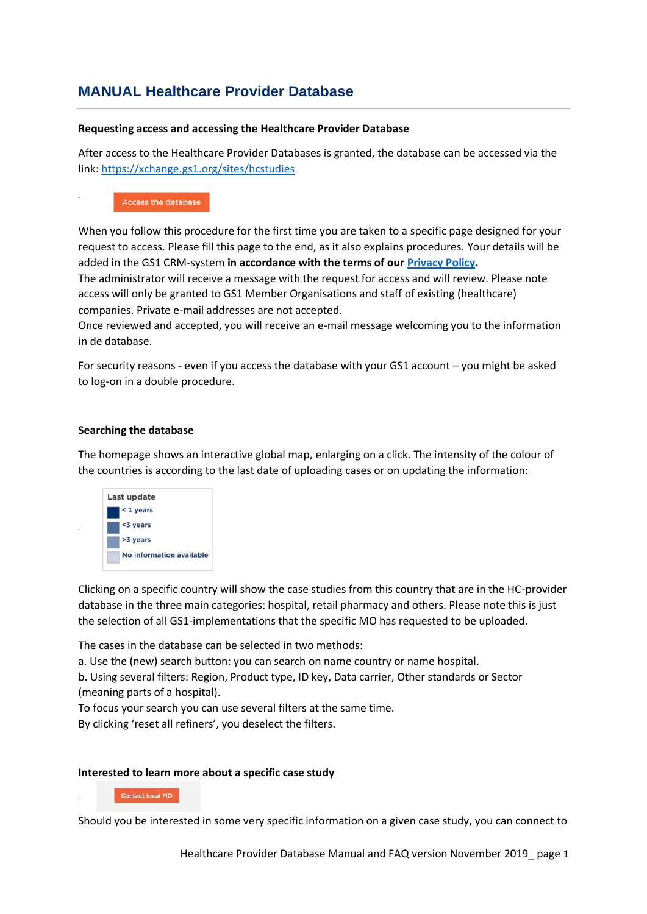# **MANUAL Healthcare Provider Database**

#### **Requesting access and accessing the Healthcare Provider Database**

After access to the Healthcare Provider Databases is granted, the database can be accessed via the link[: https://xchange.gs1.org/sites/hcstudies](https://xchange.gs1.org/sites/hcstudies)

#### Access the database

When you follow this procedure for the first time you are taken to a specific page designed for your request to access. Please fill this page to the end, as it also explains procedures. Your details will be added in the GS1 CRM-system **in accordance with the terms of our [Privacy Policy.](https://www.gs1.org/privacy-policy)**

The administrator will receive a message with the request for access and will review. Please note access will only be granted to GS1 Member Organisations and staff of existing (healthcare) companies. Private e-mail addresses are not accepted.

Once reviewed and accepted, you will receive an e-mail message welcoming you to the information in de database.

For security reasons - even if you access the database with your GS1 account – you might be asked to log-on in a double procedure.

#### **Searching the database**

The homepage shows an interactive global map, enlarging on a click. The intensity of the colour of the countries is according to the last date of uploading cases or on updating the information:



Clicking on a specific country will show the case studies from this country that are in the HC-provider database in the three main categories: hospital, retail pharmacy and others. Please note this is just the selection of all GS1-implementations that the specific MO has requested to be uploaded.

The cases in the database can be selected in two methods:

a. Use the (new) search button: you can search on name country or name hospital.

b. Using several filters: Region, Product type, ID key, Data carrier, Other standards or Sector (meaning parts of a hospital).

To focus your search you can use several filters at the same time.

By clicking 'reset all refiners', you deselect the filters.

### **Interested to learn more about a specific case study**

#### **Contact local MO**

Should you be interested in some very specific information on a given case study, you can connect to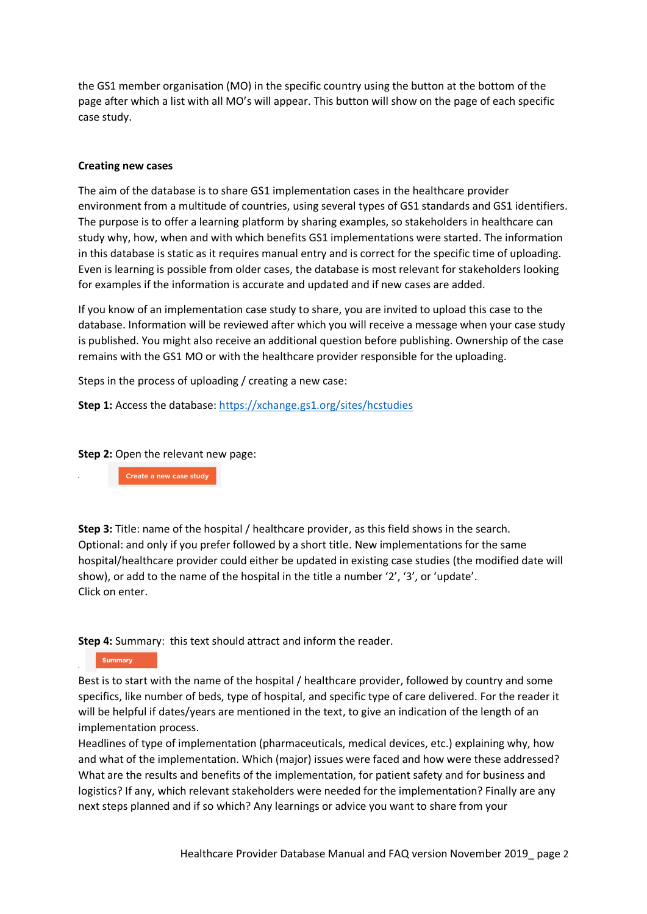the GS1 member organisation (MO) in the specific country using the button at the bottom of the page after which a list with all MO's will appear. This button will show on the page of each specific case study.

#### **Creating new cases**

The aim of the database is to share GS1 implementation cases in the healthcare provider environment from a multitude of countries, using several types of GS1 standards and GS1 identifiers. The purpose is to offer a learning platform by sharing examples, so stakeholders in healthcare can study why, how, when and with which benefits GS1 implementations were started. The information in this database is static as it requires manual entry and is correct for the specific time of uploading. Even is learning is possible from older cases, the database is most relevant for stakeholders looking for examples if the information is accurate and updated and if new cases are added.

If you know of an implementation case study to share, you are invited to upload this case to the database. Information will be reviewed after which you will receive a message when your case study is published. You might also receive an additional question before publishing. Ownership of the case remains with the GS1 MO or with the healthcare provider responsible for the uploading.

Steps in the process of uploading / creating a new case:

**Step 1:** Access the database:<https://xchange.gs1.org/sites/hcstudies>

**Step 2:** Open the relevant new page:

Create a new case study

**Step 3:** Title: name of the hospital / healthcare provider, as this field shows in the search. Optional: and only if you prefer followed by a short title. New implementations for the same hospital/healthcare provider could either be updated in existing case studies (the modified date will show), or add to the name of the hospital in the title a number '2', '3', or 'update'. Click on enter.

**Step 4:** Summary: this text should attract and inform the reader.

Summary

Best is to start with the name of the hospital / healthcare provider, followed by country and some specifics, like number of beds, type of hospital, and specific type of care delivered. For the reader it will be helpful if dates/years are mentioned in the text, to give an indication of the length of an implementation process.

Headlines of type of implementation (pharmaceuticals, medical devices, etc.) explaining why, how and what of the implementation. Which (major) issues were faced and how were these addressed? What are the results and benefits of the implementation, for patient safety and for business and logistics? If any, which relevant stakeholders were needed for the implementation? Finally are any next steps planned and if so which? Any learnings or advice you want to share from your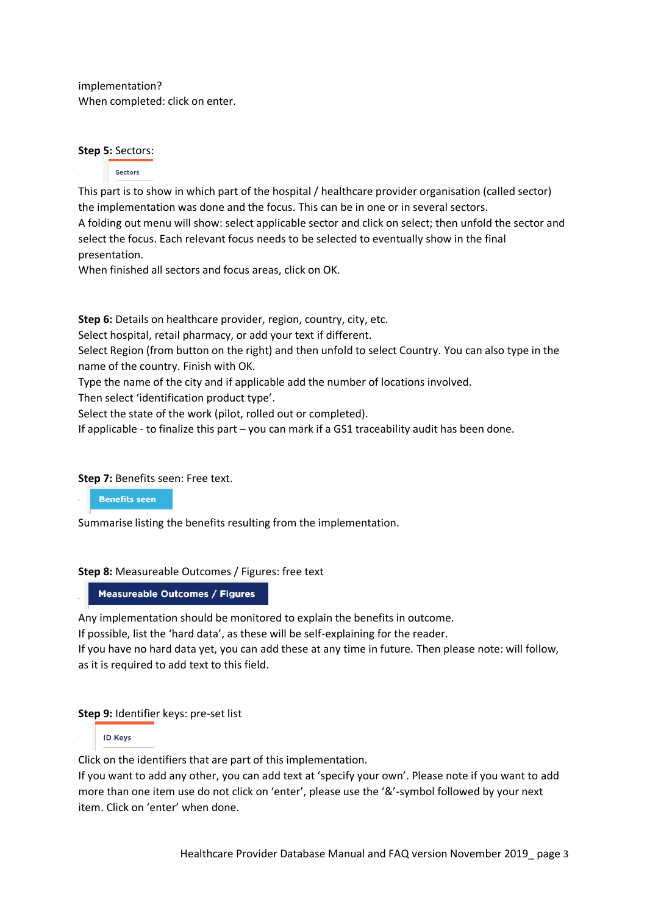implementation? When completed: click on enter.

### **Step 5:** Sectors:

#### Sectors

This part is to show in which part of the hospital / healthcare provider organisation (called sector) the implementation was done and the focus. This can be in one or in several sectors.

A folding out menu will show: select applicable sector and click on select; then unfold the sector and select the focus. Each relevant focus needs to be selected to eventually show in the final presentation.

When finished all sectors and focus areas, click on OK.

**Step 6:** Details on healthcare provider, region, country, city, etc.

Select hospital, retail pharmacy, or add your text if different.

Select Region (from button on the right) and then unfold to select Country. You can also type in the name of the country. Finish with OK.

Type the name of the city and if applicable add the number of locations involved.

Then select 'identification product type'.

Select the state of the work (pilot, rolled out or completed).

If applicable - to finalize this part – you can mark if a GS1 traceability audit has been done.

### **Step 7: Benefits seen: Free text.**

**Benefits seen** 

Summarise listing the benefits resulting from the implementation.

# **Step 8:** Measureable Outcomes / Figures: free text

**Measureable Outcomes / Figures** 

Any implementation should be monitored to explain the benefits in outcome.

If possible, list the 'hard data', as these will be self-explaining for the reader. If you have no hard data yet, you can add these at any time in future. Then please note: will follow, as it is required to add text to this field.

# **Step 9:** Identifier keys: pre-set list

**ID Keys** 

Click on the identifiers that are part of this implementation.

If you want to add any other, you can add text at 'specify your own'. Please note if you want to add more than one item use do not click on 'enter', please use the '&'-symbol followed by your next item. Click on 'enter' when done.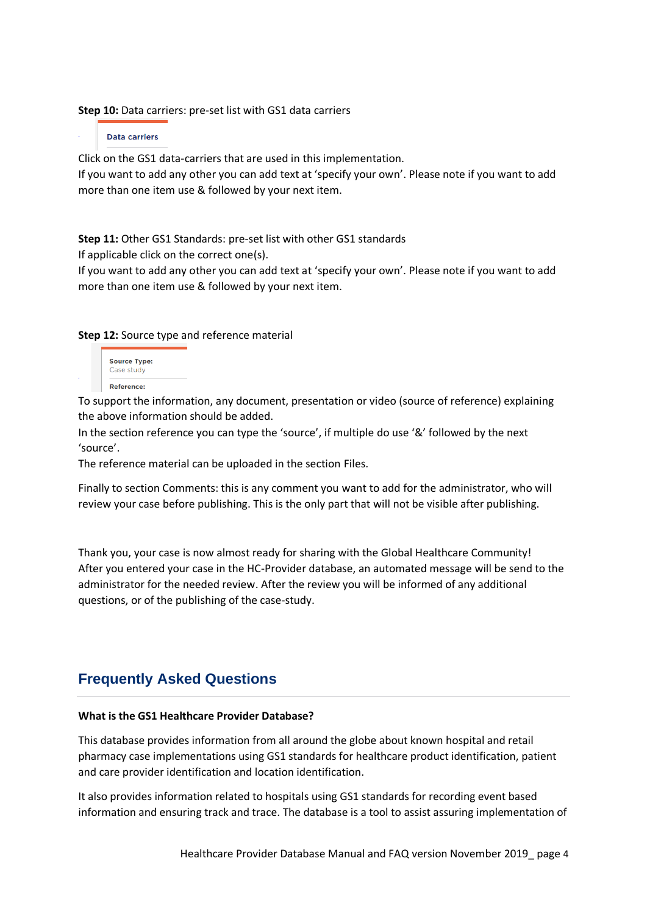**Step 10:** Data carriers: pre-set list with GS1 data carriers

**Data carriers** 

Click on the GS1 data-carriers that are used in this implementation.

If you want to add any other you can add text at 'specify your own'. Please note if you want to add more than one item use & followed by your next item.

**Step 11:** Other GS1 Standards: pre-set list with other GS1 standards

If applicable click on the correct one(s).

If you want to add any other you can add text at 'specify your own'. Please note if you want to add more than one item use & followed by your next item.

**Step 12:** Source type and reference material



To support the information, any document, presentation or video (source of reference) explaining the above information should be added.

In the section reference you can type the 'source', if multiple do use '&' followed by the next 'source'.

The reference material can be uploaded in the section Files.

Finally to section Comments: this is any comment you want to add for the administrator, who will review your case before publishing. This is the only part that will not be visible after publishing.

Thank you, your case is now almost ready for sharing with the Global Healthcare Community! After you entered your case in the HC-Provider database, an automated message will be send to the administrator for the needed review. After the review you will be informed of any additional questions, or of the publishing of the case-study.

# **Frequently Asked Questions**

### **What is the GS1 Healthcare Provider Database?**

This database provides information from all around the globe about known hospital and retail pharmacy case implementations using GS1 standards for healthcare product identification, patient and care provider identification and location identification.

It also provides information related to hospitals using GS1 standards for recording event based information and ensuring track and trace. The database is a tool to assist assuring implementation of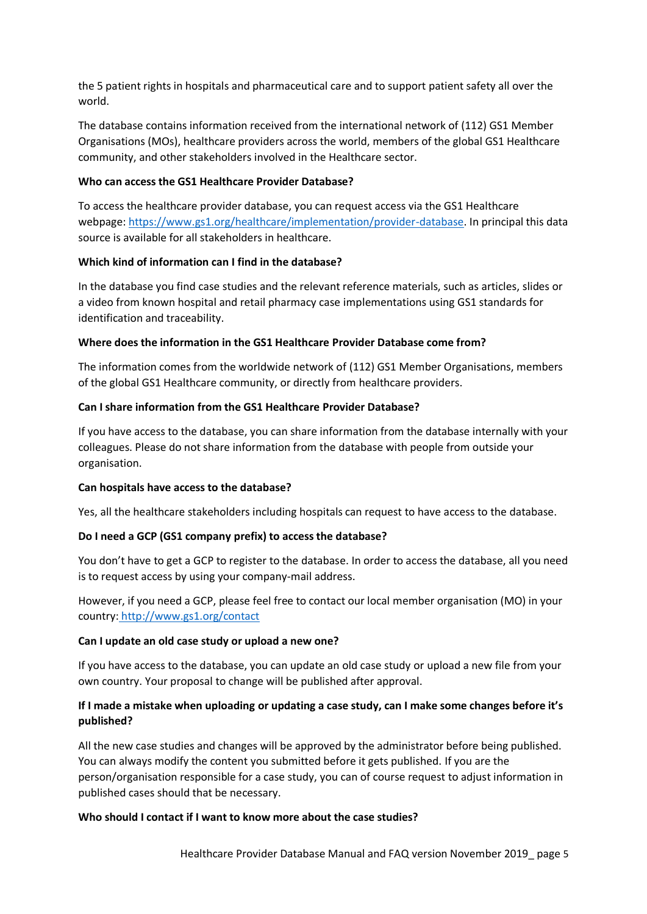the 5 patient rights in hospitals and pharmaceutical care and to support patient safety all over the world.

The database contains information received from the international network of (112) GS1 Member Organisations (MOs), healthcare providers across the world, members of the global GS1 Healthcare community, and other stakeholders involved in the Healthcare sector.

### **Who can access the GS1 Healthcare Provider Database?**

To access the healthcare provider database, you can request access via the GS1 Healthcare webpage: [https://www.gs1.org/healthcare/implementation/provider-database.](https://www.gs1.org/healthcare/implementation/provider-database) In principal this data source is available for all stakeholders in healthcare.

## **Which kind of information can I find in the database?**

In the database you find case studies and the relevant reference materials, such as articles, slides or a video from known hospital and retail pharmacy case implementations using GS1 standards for identification and traceability.

## **Where does the information in the GS1 Healthcare Provider Database come from?**

The information comes from the worldwide network of (112) GS1 Member Organisations, members of the global GS1 Healthcare community, or directly from healthcare providers.

## **Can I share information from the GS1 Healthcare Provider Database?**

If you have access to the database, you can share information from the database internally with your colleagues. Please do not share information from the database with people from outside your organisation.

### **Can hospitals have access to the database?**

Yes, all the healthcare stakeholders including hospitals can request to have access to the database.

### **Do I need a GCP (GS1 company prefix) to access the database?**

You don't have to get a GCP to register to the database. In order to access the database, all you need is to request access by using your company-mail address.

However, if you need a GCP, please feel free to contact our local member organisation (MO) in your country: http://www.gs1.org/contact

### **Can I update an old case study or upload a new one?**

If you have access to the database, you can update an old case study or upload a new file from your own country. Your proposal to change will be published after approval.

# **If I made a mistake when uploading or updating a case study, can I make some changes before it's published?**

All the new case studies and changes will be approved by the administrator before being published. You can always modify the content you submitted before it gets published. If you are the person/organisation responsible for a case study, you can of course request to adjust information in published cases should that be necessary.

# **Who should I contact if I want to know more about the case studies?**